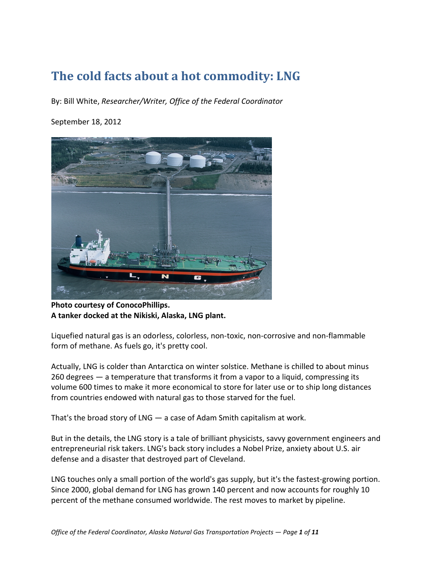# **The cold facts about a hot commodity: LNG**

By: Bill White, *Researcher/Writer, Office of the Federal Coordinator*

#### September 18, 2012



**Photo courtesy of ConocoPhillips. A tanker docked at the Nikiski, Alaska, LNG plant.**

Liquefied natural gas is an odorless, colorless, non-toxic, non-corrosive and non-flammable form of methane. As fuels go, it's pretty cool.

Actually, LNG is colder than Antarctica on winter solstice. Methane is chilled to about minus 260 degrees — a temperature that transforms it from a vapor to a liquid, compressing its volume 600 times to make it more economical to store for later use or to ship long distances from countries endowed with natural gas to those starved for the fuel.

That's the broad story of LNG — a case of Adam Smith capitalism at work.

But in the details, the LNG story is a tale of brilliant physicists, savvy government engineers and entrepreneurial risk takers. LNG's back story includes a Nobel Prize, anxiety about U.S. air defense and a disaster that destroyed part of Cleveland.

LNG touches only a small portion of the world's gas supply, but it's the fastest-growing portion. Since 2000, global demand for LNG has grown 140 percent and now accounts for roughly 10 percent of the methane consumed worldwide. The rest moves to market by pipeline.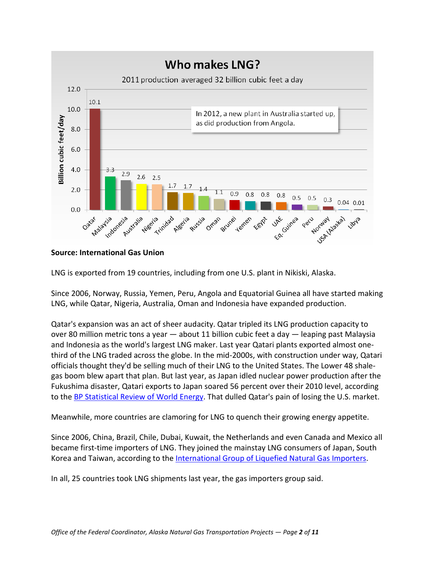

#### **Source: International Gas Union**

LNG is exported from 19 countries, including from one U.S. plant in Nikiski, Alaska.

Since 2006, Norway, Russia, Yemen, Peru, Angola and Equatorial Guinea all have started making LNG, while Qatar, Nigeria, Australia, Oman and Indonesia have expanded production.

Qatar's expansion was an act of sheer audacity. Qatar tripled its LNG production capacity to over 80 million metric tons a year — about 11 billion cubic feet a day — leaping past Malaysia and Indonesia as the world's largest LNG maker. Last year Qatari plants exported almost onethird of the LNG traded across the globe. In the mid-2000s, with construction under way, Qatari officials thought they'd be selling much of their LNG to the United States. The Lower 48 shalegas boom blew apart that plan. But last year, as Japan idled nuclear power production after the Fukushima disaster, Qatari exports to Japan soared 56 percent over their 2010 level, according to the [BP Statistical Review of World Energy.](http://www.bp.com/sectionbodycopy.do?categoryId=7500&contentId=7068481) That dulled Qatar's pain of losing the U.S. market.

Meanwhile, more countries are clamoring for LNG to quench their growing energy appetite.

Since 2006, China, Brazil, Chile, Dubai, Kuwait, the Netherlands and even Canada and Mexico all became first-time importers of LNG. They joined the mainstay LNG consumers of Japan, South Korea and Taiwan, according to the [International Group of Liquefied Natural Gas Importers.](http://www.giignl.org/fileadmin/user_upload/pdf/A_PUBLIC_INFORMATION/LNG_Industry/GIIGNL_The_LNG_Industry_2011.pdf)

In all, 25 countries took LNG shipments last year, the gas importers group said.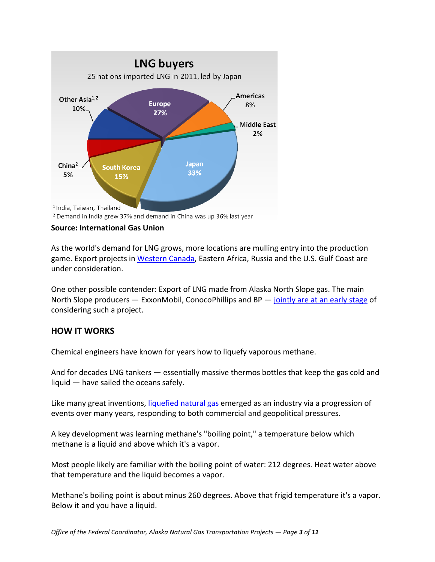

<sup>&</sup>lt;sup>2</sup> Demand in India grew 37% and demand in China was up 36% last year

#### **Source: International Gas Union**

As the world's demand for LNG grows, more locations are mulling entry into the production game. Export projects in [Western Canada,](http://www.arcticgas.gov/canada-hopes-lng-exports-can-re-energize-gas-production) Eastern Africa, Russia and the U.S. Gulf Coast are under consideration.

One other possible contender: Export of LNG made from Alaska North Slope gas. The main North Slope producers - ExxonMobil, ConocoPhillips and BP - [jointly are at an early stage](http://www.arcticgas.gov/alaska-gas-pipeline-sponsors-plan-new-effort-seek-potential-customers) of considering such a project.

## **HOW IT WORKS**

Chemical engineers have known for years how to liquefy vaporous methane.

And for decades LNG tankers — essentially massive thermos bottles that keep the gas cold and liquid — have sailed the oceans safely.

Like many great inventions, [liquefied natural gas](http://www.giignl.org/fileadmin/user_upload/pdf/A_PUBLIC_INFORMATION/LNG_Basics/LNG_1_-_Basic_Properties_7.2.09_AAcomments-Aug09.pdf) emerged as an industry via a progression of events over many years, responding to both commercial and geopolitical pressures.

A key development was learning methane's "boiling point," a temperature below which methane is a liquid and above which it's a vapor.

Most people likely are familiar with the boiling point of water: 212 degrees. Heat water above that temperature and the liquid becomes a vapor.

Methane's boiling point is about minus 260 degrees. Above that frigid temperature it's a vapor. Below it and you have a liquid.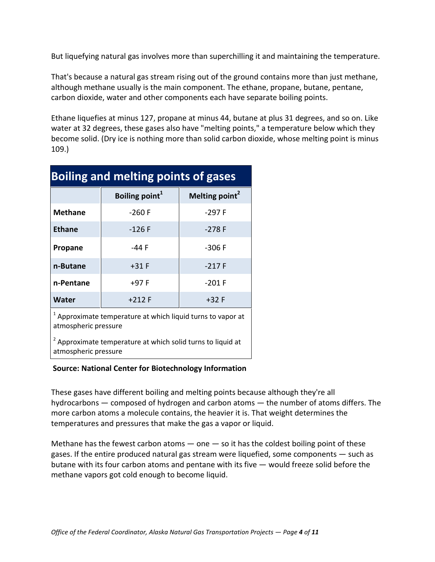But liquefying natural gas involves more than superchilling it and maintaining the temperature.

That's because a natural gas stream rising out of the ground contains more than just methane, although methane usually is the main component. The ethane, propane, butane, pentane, carbon dioxide, water and other components each have separate boiling points.

Ethane liquefies at minus 127, propane at minus 44, butane at plus 31 degrees, and so on. Like water at 32 degrees, these gases also have "melting points," a temperature below which they become solid. (Dry ice is nothing more than solid carbon dioxide, whose melting point is minus 109.)

| <b>Boiling and melting points of gases</b>                                                     |                            |                            |
|------------------------------------------------------------------------------------------------|----------------------------|----------------------------|
|                                                                                                | Boiling point <sup>1</sup> | Melting point <sup>2</sup> |
| <b>Methane</b>                                                                                 | $-260$ F                   | $-297F$                    |
| <b>Ethane</b>                                                                                  | $-126F$                    | $-278F$                    |
| Propane                                                                                        | -44 F                      | $-306F$                    |
| n-Butane                                                                                       | $+31$ F                    | $-217F$                    |
| n-Pentane                                                                                      | $+97 F$                    | $-201$ F                   |
| Water                                                                                          | $+212 F$                   | $+32 F$                    |
| <sup>1</sup> Approximate temperature at which liquid turns to vapor at<br>atmospheric pressure |                            |                            |

<sup>2</sup> Approximate temperature at which solid turns to liquid at atmospheric pressure

#### **Source: National Center for Biotechnology Information**

These gases have different boiling and melting points because although they're all hydrocarbons — composed of hydrogen and carbon atoms — the number of atoms differs. The more carbon atoms a molecule contains, the heavier it is. That weight determines the temperatures and pressures that make the gas a vapor or liquid.

Methane has the fewest carbon atoms  $-$  one  $-$  so it has the coldest boiling point of these gases. If the entire produced natural gas stream were liquefied, some components — such as butane with its four carbon atoms and pentane with its five — would freeze solid before the methane vapors got cold enough to become liquid.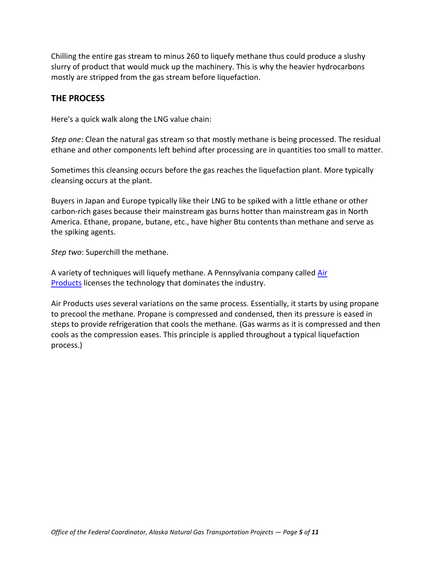Chilling the entire gas stream to minus 260 to liquefy methane thus could produce a slushy slurry of product that would muck up the machinery. This is why the heavier hydrocarbons mostly are stripped from the gas stream before liquefaction.

## **THE PROCESS**

Here's a quick walk along the LNG value chain:

*Step one*: Clean the natural gas stream so that mostly methane is being processed. The residual ethane and other components left behind after processing are in quantities too small to matter.

Sometimes this cleansing occurs before the gas reaches the liquefaction plant. More typically cleansing occurs at the plant.

Buyers in Japan and Europe typically like their LNG to be spiked with a little ethane or other carbon-rich gases because their mainstream gas burns hotter than mainstream gas in North America. Ethane, propane, butane, etc., have higher Btu contents than methane and serve as the spiking agents.

*Step two*: Superchill the methane.

A variety of techniques will liquefy methane. A Pennsylvania company called [Air](http://www.airproducts.com/)  **[Products](http://www.airproducts.com/)** licenses the technology that dominates the industry.

Air Products uses several variations on the same process. Essentially, it starts by using propane to precool the methane. Propane is compressed and condensed, then its pressure is eased in steps to provide refrigeration that cools the methane. (Gas warms as it is compressed and then cools as the compression eases. This principle is applied throughout a typical liquefaction process.)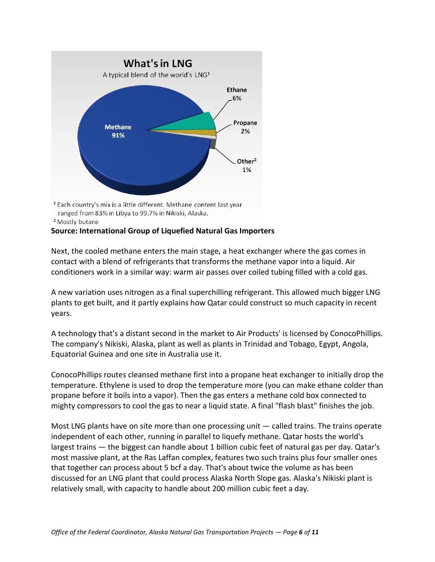

ranged from 83% in Libya to 99.7% in Nikiski, Alaska. <sup>2</sup> Mostly butane

### **Source: International Group of Liquefied Natural Gas Importers**

Next, the cooled methane enters the main stage, a heat exchanger where the gas comes in contact with a blend of refrigerants that transforms the methane vapor into a liquid. Air conditioners work in a similar way: warm air passes over coiled tubing filled with a cold gas.

A new variation uses nitrogen as a final superchilling refrigerant. This allowed much bigger LNG plants to get built, and it partly explains how Qatar could construct so much capacity in recent years.

A technology that's a distant second in the market to Air Products' is licensed by ConocoPhillips. The company's Nikiski, Alaska, plant as well as plants in Trinidad and Tobago, Egypt, Angola, Equatorial Guinea and one site in Australia use it.

ConocoPhillips routes cleansed methane first into a propane heat exchanger to initially drop the temperature. Ethylene is used to drop the temperature more (you can make ethane colder than propane before it boils into a vapor). Then the gas enters a methane cold box connected to mighty compressors to cool the gas to near a liquid state. A final "flash blast" finishes the job.

Most LNG plants have on site more than one processing unit — called trains. The trains operate independent of each other, running in parallel to liquefy methane. Qatar hosts the world's largest trains — the biggest can handle about 1 billion cubic feet of natural gas per day. Qatar's most massive plant, at the Ras Laffan complex, features two such trains plus four smaller ones that together can process about 5 bcf a day. That's about twice the volume as has been discussed for an LNG plant that could process Alaska North Slope gas. Alaska's Nikiski plant is relatively small, with capacity to handle about 200 million cubic feet a day.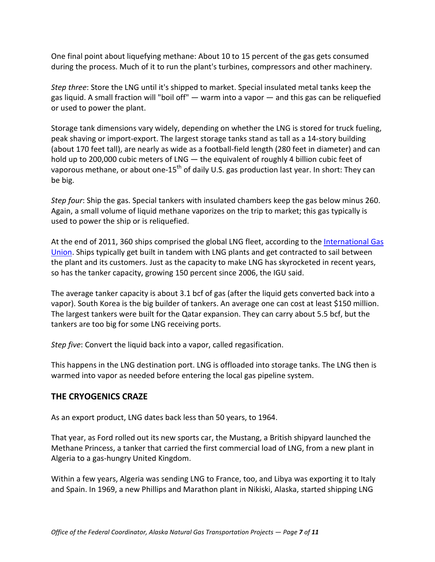One final point about liquefying methane: About 10 to 15 percent of the gas gets consumed during the process. Much of it to run the plant's turbines, compressors and other machinery.

*Step three*: Store the LNG until it's shipped to market. Special insulated metal tanks keep the gas liquid. A small fraction will "boil off" — warm into a vapor — and this gas can be reliquefied or used to power the plant.

Storage tank dimensions vary widely, depending on whether the LNG is stored for truck fueling, peak shaving or import-export. The largest storage tanks stand as tall as a 14-story building (about 170 feet tall), are nearly as wide as a football-field length (280 feet in diameter) and can hold up to 200,000 cubic meters of LNG — the equivalent of roughly 4 billion cubic feet of vaporous methane, or about one-15<sup>th</sup> of daily U.S. gas production last year. In short: They can be big.

*Step four*: Ship the gas. Special tankers with insulated chambers keep the gas below minus 260. Again, a small volume of liquid methane vaporizes on the trip to market; this gas typically is used to power the ship or is reliquefied.

At the end of 2011, 360 ships comprised the global LNG fleet, according to th[e International Gas](http://www.igu.org/igu-publications/LNG%20Report%202011.pdf)  [Union.](http://www.igu.org/igu-publications/LNG%20Report%202011.pdf) Ships typically get built in tandem with LNG plants and get contracted to sail between the plant and its customers. Just as the capacity to make LNG has skyrocketed in recent years, so has the tanker capacity, growing 150 percent since 2006, the IGU said.

The average tanker capacity is about 3.1 bcf of gas (after the liquid gets converted back into a vapor). South Korea is the big builder of tankers. An average one can cost at least \$150 million. The largest tankers were built for the Qatar expansion. They can carry about 5.5 bcf, but the tankers are too big for some LNG receiving ports.

*Step five*: Convert the liquid back into a vapor, called regasification.

This happens in the LNG destination port. LNG is offloaded into storage tanks. The LNG then is warmed into vapor as needed before entering the local gas pipeline system.

# **THE CRYOGENICS CRAZE**

As an export product, LNG dates back less than 50 years, to 1964.

That year, as Ford rolled out its new sports car, the Mustang, a British shipyard launched the Methane Princess, a tanker that carried the first commercial load of LNG, from a new plant in Algeria to a gas-hungry United Kingdom.

Within a few years, Algeria was sending LNG to France, too, and Libya was exporting it to Italy and Spain. In 1969, a new Phillips and Marathon plant in Nikiski, Alaska, started shipping LNG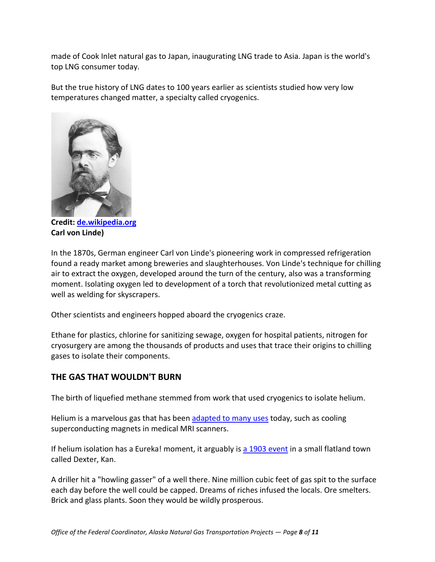made of Cook Inlet natural gas to Japan, inaugurating LNG trade to Asia. Japan is the world's top LNG consumer today.

But the true history of LNG dates to 100 years earlier as scientists studied how very low temperatures changed matter, a specialty called cryogenics.



**Credit: [de.wikipedia.org](http://de.wikipedia.org/w/index.php?title=Datei:Carl_Linde_1872.jpg&filetimestamp=20091015090438) Carl von Linde)**

In the 1870s, German engineer Carl von Linde's pioneering work in compressed refrigeration found a ready market among breweries and slaughterhouses. Von Linde's technique for chilling air to extract the oxygen, developed around the turn of the century, also was a transforming moment. Isolating oxygen led to development of a torch that revolutionized metal cutting as well as welding for skyscrapers.

Other scientists and engineers hopped aboard the cryogenics craze.

Ethane for plastics, chlorine for sanitizing sewage, oxygen for hospital patients, nitrogen for cryosurgery are among the thousands of products and uses that trace their origins to chilling gases to isolate their components.

# **THE GAS THAT WOULDN'T BURN**

The birth of liquefied methane stemmed from work that used cryogenics to isolate helium.

Helium is a marvelous gas that has been [adapted to many uses](http://physicsworld.com/cws/article/news/2010/jan/27/helium-sell-off-risks-future-supply) today, such as cooling superconducting magnets in medical MRI scanners.

If helium isolation has a Eureka! moment, it arguably is [a 1903 event](http://acswebcontent.acs.org/landmarks/landmarks/helium/helium.html) in a small flatland town called Dexter, Kan.

A driller hit a "howling gasser" of a well there. Nine million cubic feet of gas spit to the surface each day before the well could be capped. Dreams of riches infused the locals. Ore smelters. Brick and glass plants. Soon they would be wildly prosperous.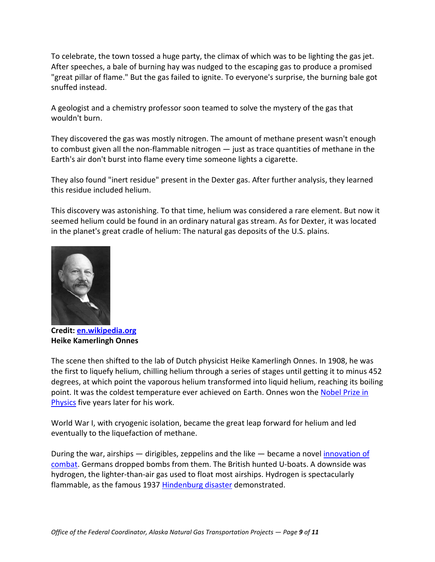To celebrate, the town tossed a huge party, the climax of which was to be lighting the gas jet. After speeches, a bale of burning hay was nudged to the escaping gas to produce a promised "great pillar of flame." But the gas failed to ignite. To everyone's surprise, the burning bale got snuffed instead.

A geologist and a chemistry professor soon teamed to solve the mystery of the gas that wouldn't burn.

They discovered the gas was mostly nitrogen. The amount of methane present wasn't enough to combust given all the non-flammable nitrogen — just as trace quantities of methane in the Earth's air don't burst into flame every time someone lights a cigarette.

They also found "inert residue" present in the Dexter gas. After further analysis, they learned this residue included helium.

This discovery was astonishing. To that time, helium was considered a rare element. But now it seemed helium could be found in an ordinary natural gas stream. As for Dexter, it was located in the planet's great cradle of helium: The natural gas deposits of the U.S. plains.



**Credit: [en.wikipedia.org](http://en.wikipedia.org/wiki/File:Kamerlingh_portret.jpg) Heike Kamerlingh Onnes** 

The scene then shifted to the lab of Dutch physicist Heike Kamerlingh Onnes. In 1908, he was the first to liquefy helium, chilling helium through a series of stages until getting it to minus 452 degrees, at which point the vaporous helium transformed into liquid helium, reaching its boiling point. It was the coldest temperature ever achieved on Earth. Onnes won the [Nobel Prize in](http://www.nobelprize.org/nobel_prizes/physics/laureates/1913/)  [Physics](http://www.nobelprize.org/nobel_prizes/physics/laureates/1913/) five years later for his work.

World War I, with cryogenic isolation, became the great leap forward for helium and led eventually to the liquefaction of methane.

During the war, airships  $-$  dirigibles, zeppelins and the like  $-$  became a novel innovation of [combat.](http://www.worldwar1.com/sfzepp.htm) Germans dropped bombs from them. The British hunted U-boats. A downside was hydrogen, the lighter-than-air gas used to float most airships. Hydrogen is spectacularly flammable, as the famous 1937 [Hindenburg disaster](http://www.airships.net/hindenburg/disaster) demonstrated.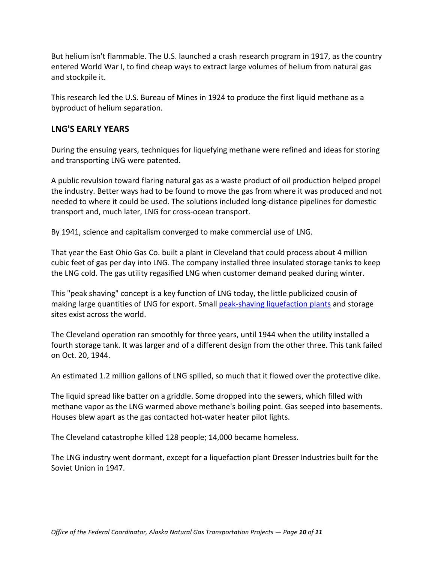But helium isn't flammable. The U.S. launched a crash research program in 1917, as the country entered World War I, to find cheap ways to extract large volumes of helium from natural gas and stockpile it.

This research led the U.S. Bureau of Mines in 1924 to produce the first liquid methane as a byproduct of helium separation.

## **LNG'S EARLY YEARS**

During the ensuing years, techniques for liquefying methane were refined and ideas for storing and transporting LNG were patented.

A public revulsion toward flaring natural gas as a waste product of oil production helped propel the industry. Better ways had to be found to move the gas from where it was produced and not needed to where it could be used. The solutions included long-distance pipelines for domestic transport and, much later, LNG for cross-ocean transport.

By 1941, science and capitalism converged to make commercial use of LNG.

That year the East Ohio Gas Co. built a plant in Cleveland that could process about 4 million cubic feet of gas per day into LNG. The company installed three insulated storage tanks to keep the LNG cold. The gas utility regasified LNG when customer demand peaked during winter.

This "peak shaving" concept is a key function of LNG today, the little publicized cousin of making large quantities of LNG for export. Small [peak-shaving liquefaction plants](http://www.arcticgas.gov/sites/default/files/documents/2003-eia-lng-markets-and-uses.pdf) and storage sites exist across the world.

The Cleveland operation ran smoothly for three years, until 1944 when the utility installed a fourth storage tank. It was larger and of a different design from the other three. This tank failed on Oct. 20, 1944.

An estimated 1.2 million gallons of LNG spilled, so much that it flowed over the protective dike.

The liquid spread like batter on a griddle. Some dropped into the sewers, which filled with methane vapor as the LNG warmed above methane's boiling point. Gas seeped into basements. Houses blew apart as the gas contacted hot-water heater pilot lights.

The Cleveland catastrophe killed 128 people; 14,000 became homeless.

The LNG industry went dormant, except for a liquefaction plant Dresser Industries built for the Soviet Union in 1947.